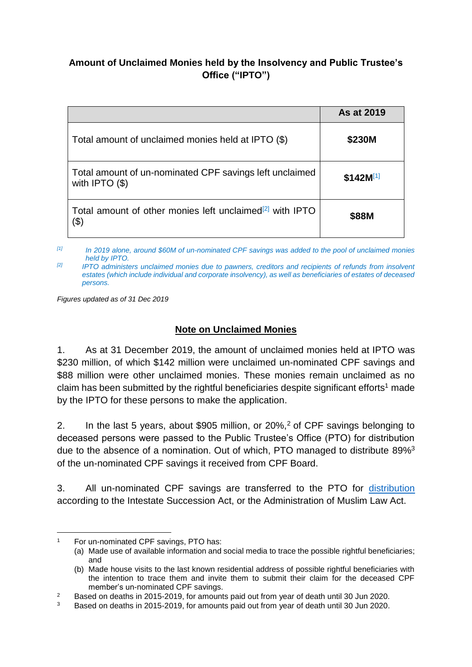## **Amount of Unclaimed Monies held by the Insolvency and Public Trustee's Office ("IPTO")**

|                                                                                | As at 2019    |
|--------------------------------------------------------------------------------|---------------|
| Total amount of unclaimed monies held at IPTO (\$)                             | \$230M        |
| Total amount of un-nominated CPF savings left unclaimed<br>with IPTO $($ math) | $$142M^{[1]}$ |
| Total amount of other monies left unclaimed <sup>[2]</sup> with IPTO<br>(\$)   | \$88M         |

*[1] In 2019 alone, around \$60M of un-nominated CPF savings was added to the pool of unclaimed monies held by IPTO.* 

*[2] IPTO administers unclaimed monies due to pawners, creditors and recipients of refunds from insolvent estates (which include individual and corporate insolvency), as well as beneficiaries of estates of deceased persons.*

*Figures updated as of 31 Dec 2019*

## **Note on Unclaimed Monies**

1. As at 31 December 2019, the amount of unclaimed monies held at IPTO was \$230 million, of which \$142 million were unclaimed un-nominated CPF savings and \$88 million were other unclaimed monies. These monies remain unclaimed as no claim has been submitted by the rightful beneficiaries despite significant efforts<sup>1</sup> made by the IPTO for these persons to make the application.

2. In the last 5 years, about \$905 million, or 20%,<sup>2</sup> of CPF savings belonging to deceased persons were passed to the Public Trustee's Office (PTO) for distribution due to the absence of a nomination. Out of which, PTO managed to distribute 89%<sup>3</sup> of the un-nominated CPF savings it received from CPF Board.

3. All un-nominated CPF savings are transferred to the PTO for [distribution](https://pto.mlaw.gov.sg/files/intestacybrochure.pdf) according to the Intestate Succession Act, or the Administration of Muslim Law Act.

-

For un-nominated CPF savings, PTO has:

<sup>(</sup>a) Made use of available information and social media to trace the possible rightful beneficiaries; and

<sup>(</sup>b) Made house visits to the last known residential address of possible rightful beneficiaries with the intention to trace them and invite them to submit their claim for the deceased CPF member's un-nominated CPF savings.

<sup>&</sup>lt;sup>2</sup> Based on deaths in 2015-2019, for amounts paid out from year of death until 30 Jun 2020.<br><sup>3</sup> Based on deaths in 2015-2019, for amounts paid out from year of death until 30 Jun 2020.

<sup>3</sup> Based on deaths in 2015-2019, for amounts paid out from year of death until 30 Jun 2020.